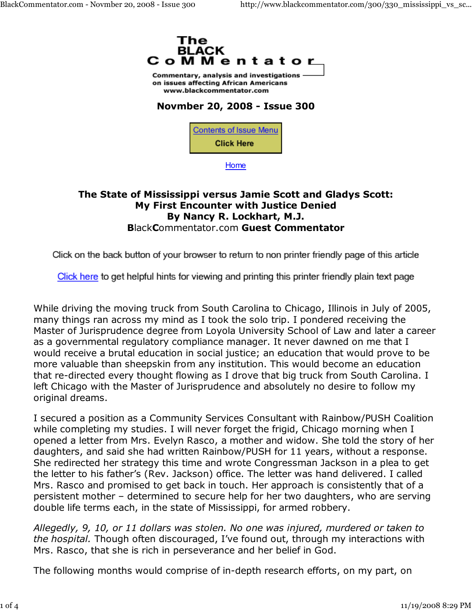

Commentary, analysis and investigations on issues affecting African Americans www.blackcommentator.com

## **Novmber 20, 2008 - Issue 300**



**Home** 

## **The State of Mississippi versus Jamie Scott and Gladys Scott: My First Encounter with Justice Denied By Nancy R. Lockhart, M.J. B**lack**C**ommentator.com **Guest Commentator**

Click on the back button of your browser to return to non printer friendly page of this article

Click here to get helpful hints for viewing and printing this printer friendly plain text page

While driving the moving truck from South Carolina to Chicago, Illinois in July of 2005, many things ran across my mind as I took the solo trip. I pondered receiving the Master of Jurisprudence degree from Loyola University School of Law and later a career as a governmental regulatory compliance manager. It never dawned on me that I would receive a brutal education in social justice; an education that would prove to be more valuable than sheepskin from any institution. This would become an education that re-directed every thought flowing as I drove that big truck from South Carolina. I left Chicago with the Master of Jurisprudence and absolutely no desire to follow my original dreams.

I secured a position as a Community Services Consultant with Rainbow/PUSH Coalition while completing my studies. I will never forget the frigid, Chicago morning when I opened a letter from Mrs. Evelyn Rasco, a mother and widow. She told the story of her daughters, and said she had written Rainbow/PUSH for 11 years, without a response. She redirected her strategy this time and wrote Congressman Jackson in a plea to get the letter to his father's (Rev. Jackson) office. The letter was hand delivered. I called Mrs. Rasco and promised to get back in touch. Her approach is consistently that of a persistent mother – determined to secure help for her two daughters, who are serving double life terms each, in the state of Mississippi, for armed robbery.

*Allegedly, 9, 10, or 11 dollars was stolen. No one was injured, murdered or taken to the hospital.* Though often discouraged, I've found out, through my interactions with Mrs. Rasco, that she is rich in perseverance and her belief in God.

The following months would comprise of in-depth research efforts, on my part, on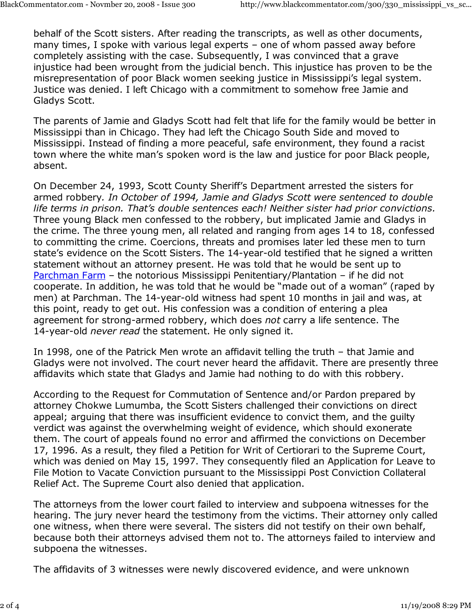behalf of the Scott sisters. After reading the transcripts, as well as other documents, many times, I spoke with various legal experts – one of whom passed away before completely assisting with the case. Subsequently, I was convinced that a grave injustice had been wrought from the judicial bench. This injustice has proven to be the misrepresentation of poor Black women seeking justice in Mississippi's legal system. Justice was denied. I left Chicago with a commitment to somehow free Jamie and Gladys Scott.

The parents of Jamie and Gladys Scott had felt that life for the family would be better in Mississippi than in Chicago. They had left the Chicago South Side and moved to Mississippi. Instead of finding a more peaceful, safe environment, they found a racist town where the white man's spoken word is the law and justice for poor Black people, absent.

On December 24, 1993, Scott County Sheriff's Department arrested the sisters for armed robbery*. In October of 1994, Jamie and Gladys Scott were sentenced to double life terms in prison. That's double sentences each! Neither sister had prior convictions.* Three young Black men confessed to the robbery, but implicated Jamie and Gladys in the crime. The three young men, all related and ranging from ages 14 to 18, confessed to committing the crime. Coercions, threats and promises later led these men to turn state's evidence on the Scott Sisters. The 14-year-old testified that he signed a written statement without an attorney present. He was told that he would be sent up to Parchman Farm – the notorious Mississippi Penitentiary/Plantation – if he did not cooperate. In addition, he was told that he would be "made out of a woman" (raped by men) at Parchman. The 14-year-old witness had spent 10 months in jail and was, at this point, ready to get out. His confession was a condition of entering a plea agreement for strong-armed robbery, which does *not* carry a life sentence. The 14-year-old *never read* the statement. He only signed it.

In 1998, one of the Patrick Men wrote an affidavit telling the truth – that Jamie and Gladys were not involved. The court never heard the affidavit. There are presently three affidavits which state that Gladys and Jamie had nothing to do with this robbery.

According to the Request for Commutation of Sentence and/or Pardon prepared by attorney Chokwe Lumumba, the Scott Sisters challenged their convictions on direct appeal; arguing that there was insufficient evidence to convict them, and the guilty verdict was against the overwhelming weight of evidence, which should exonerate them. The court of appeals found no error and affirmed the convictions on December 17, 1996. As a result, they filed a Petition for Writ of Certiorari to the Supreme Court, which was denied on May 15, 1997. They consequently filed an Application for Leave to File Motion to Vacate Conviction pursuant to the Mississippi Post Conviction Collateral Relief Act. The Supreme Court also denied that application.

The attorneys from the lower court failed to interview and subpoena witnesses for the hearing. The jury never heard the testimony from the victims. Their attorney only called one witness, when there were several. The sisters did not testify on their own behalf, because both their attorneys advised them not to. The attorneys failed to interview and subpoena the witnesses.

The affidavits of 3 witnesses were newly discovered evidence, and were unknown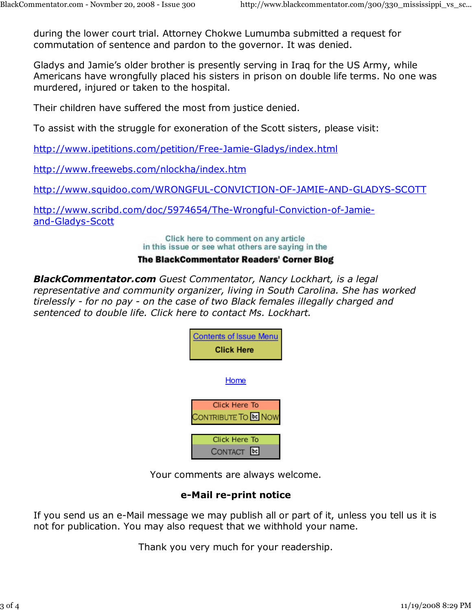during the lower court trial. Attorney Chokwe Lumumba submitted a request for commutation of sentence and pardon to the governor. It was denied.

Gladys and Jamie's older brother is presently serving in Iraq for the US Army, while Americans have wrongfully placed his sisters in prison on double life terms. No one was murdered, injured or taken to the hospital.

Their children have suffered the most from justice denied.

To assist with the struggle for exoneration of the Scott sisters, please visit:

http://www.ipetitions.com/petition/Free-Jamie-Gladys/index.html

http://www.freewebs.com/nlockha/index.htm

http://www.squidoo.com/WRONGFUL-CONVICTION-OF-JAMIE-AND-GLADYS-SCOTT

http://www.scribd.com/doc/5974654/The-Wrongful-Conviction-of-Jamieand-Gladys-Scott

> Click here to comment on any article in this issue or see what others are saying in the

## **The BlackCommentator Readers' Corner Blog**

*BlackCommentator.com Guest Commentator, Nancy Lockhart, is a legal representative and community organizer, living in South Carolina. She has worked tirelessly - for no pay - on the case of two Black females illegally charged and sentenced to double life. Click here to contact Ms. Lockhart.*

| <b>Contents of Issue Menu</b><br><b>Click Here</b> |
|----------------------------------------------------|
| Home                                               |
| Click Here To<br><b>DNTRIBUTE TO BE NOW</b>        |
| Click Here To<br>CONTACT                           |

Your comments are always welcome.

## **e-Mail re-print notice**

If you send us an e-Mail message we may publish all or part of it, unless you tell us it is not for publication. You may also request that we withhold your name.

Thank you very much for your readership.